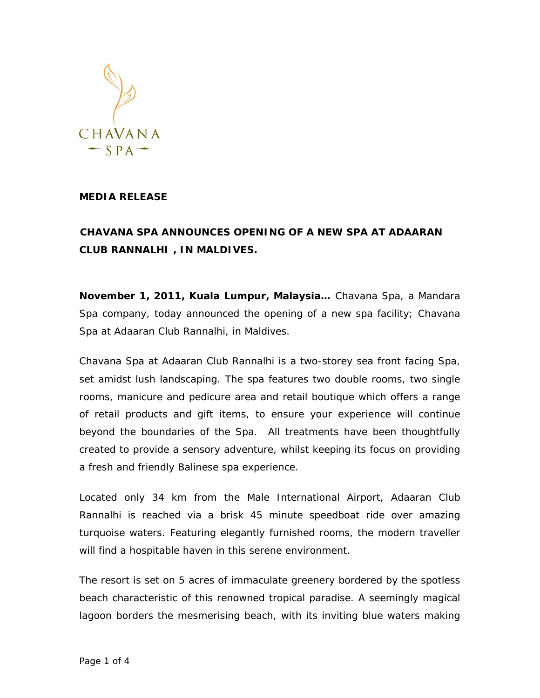

## **MEDIA RELEASE**

## **CHAVANA SPA ANNOUNCES OPENING OF A NEW SPA AT ADAARAN CLUB RANNALHI , IN MALDIVES.**

**November 1, 2011, Kuala Lumpur, Malaysia…** Chavana Spa, a Mandara Spa company, today announced the opening of a new spa facility; *Chavana Spa* at Adaaran Club Rannalhi, in Maldives.

Chavana Spa at Adaaran Club Rannalhi is a two-storey sea front facing Spa, set amidst lush landscaping. The spa features two double rooms, two single rooms, manicure and pedicure area and retail boutique which offers a range of retail products and gift items, to ensure your experience will continue beyond the boundaries of the Spa. All treatments have been thoughtfully created to provide a sensory adventure, whilst keeping its focus on providing a fresh and friendly Balinese spa experience.

Located only 34 km from the Male International Airport, Adaaran Club Rannalhi is reached via a brisk 45 minute speedboat ride over amazing turquoise waters. Featuring elegantly furnished rooms, the modern traveller will find a hospitable haven in this serene environment.

The resort is set on 5 acres of immaculate greenery bordered by the spotless beach characteristic of this renowned tropical paradise. A seemingly magical lagoon borders the mesmerising beach, with its inviting blue waters making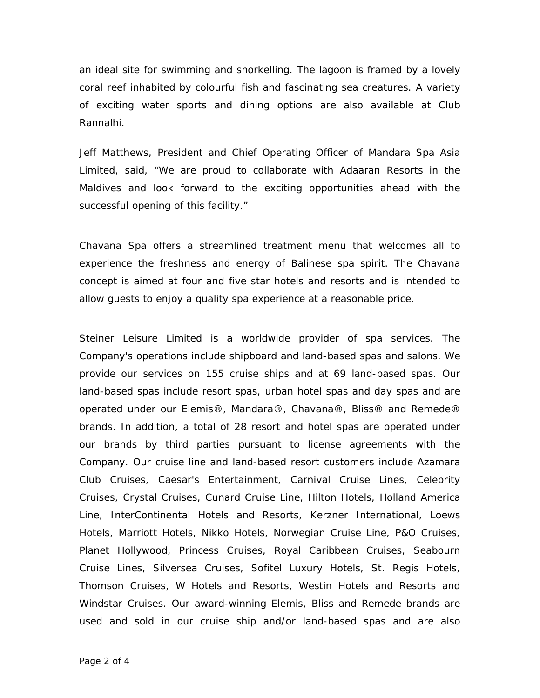an ideal site for swimming and snorkelling. The lagoon is framed by a lovely coral reef inhabited by colourful fish and fascinating sea creatures. A variety of exciting water sports and dining options are also available at Club Rannalhi.

Jeff Matthews, President and Chief Operating Officer of Mandara Spa Asia Limited, said, "We are proud to collaborate with Adaaran Resorts in the Maldives and look forward to the exciting opportunities ahead with the successful opening of this facility."

Chavana Spa offers a streamlined treatment menu that welcomes all to experience the freshness and energy of Balinese spa spirit. The Chavana concept is aimed at four and five star hotels and resorts and is intended to allow guests to enjoy a quality spa experience at a reasonable price.

Steiner Leisure Limited is a worldwide provider of spa services. The Company's operations include shipboard and land-based spas and salons. We provide our services on 155 cruise ships and at 69 land-based spas. Our land-based spas include resort spas, urban hotel spas and day spas and are operated under our Elemis®, Mandara®, Chavana®, Bliss® and Remede® brands. In addition, a total of 28 resort and hotel spas are operated under our brands by third parties pursuant to license agreements with the Company. Our cruise line and land-based resort customers include Azamara Club Cruises, Caesar's Entertainment, Carnival Cruise Lines, Celebrity Cruises, Crystal Cruises, Cunard Cruise Line, Hilton Hotels, Holland America Line, InterContinental Hotels and Resorts, Kerzner International, Loews Hotels, Marriott Hotels, Nikko Hotels, Norwegian Cruise Line, P&O Cruises, Planet Hollywood, Princess Cruises, Royal Caribbean Cruises, Seabourn Cruise Lines, Silversea Cruises, Sofitel Luxury Hotels, St. Regis Hotels, Thomson Cruises, W Hotels and Resorts, Westin Hotels and Resorts and Windstar Cruises. Our award-winning Elemis, Bliss and Remede brands are used and sold in our cruise ship and/or land-based spas and are also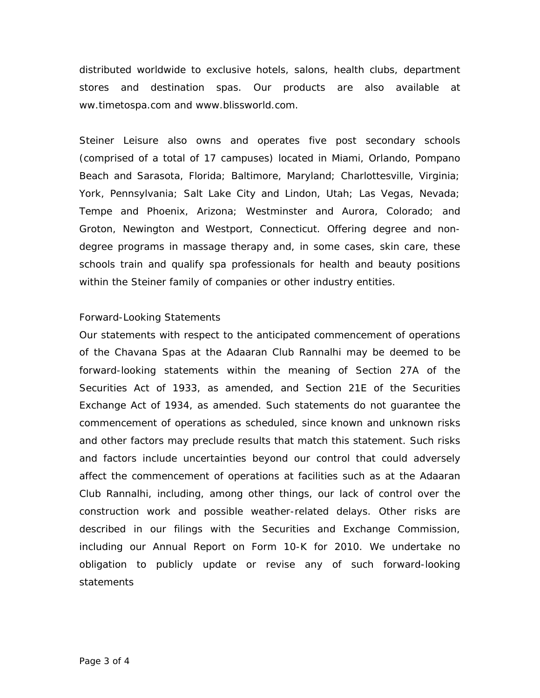distributed worldwide to exclusive hotels, salons, health clubs, department stores and destination spas. Our products are also available at ww.timetospa.com and www.blissworld.com.

Steiner Leisure also owns and operates five post secondary schools (comprised of a total of 17 campuses) located in Miami, Orlando, Pompano Beach and Sarasota, Florida; Baltimore, Maryland; Charlottesville, Virginia; York, Pennsylvania; Salt Lake City and Lindon, Utah; Las Vegas, Nevada; Tempe and Phoenix, Arizona; Westminster and Aurora, Colorado; and Groton, Newington and Westport, Connecticut. Offering degree and nondegree programs in massage therapy and, in some cases, skin care, these schools train and qualify spa professionals for health and beauty positions within the Steiner family of companies or other industry entities.

## Forward-Looking Statements

Our statements with respect to the anticipated commencement of operations of the Chavana Spas at the Adaaran Club Rannalhi may be deemed to be forward-looking statements within the meaning of Section 27A of the Securities Act of 1933, as amended, and Section 21E of the Securities Exchange Act of 1934, as amended. Such statements do not guarantee the commencement of operations as scheduled, since known and unknown risks and other factors may preclude results that match this statement. Such risks and factors include uncertainties beyond our control that could adversely affect the commencement of operations at facilities such as at the Adaaran Club Rannalhi, including, among other things, our lack of control over the construction work and possible weather-related delays. Other risks are described in our filings with the Securities and Exchange Commission, including our Annual Report on Form 10-K for 2010. We undertake no obligation to publicly update or revise any of such forward-looking statements